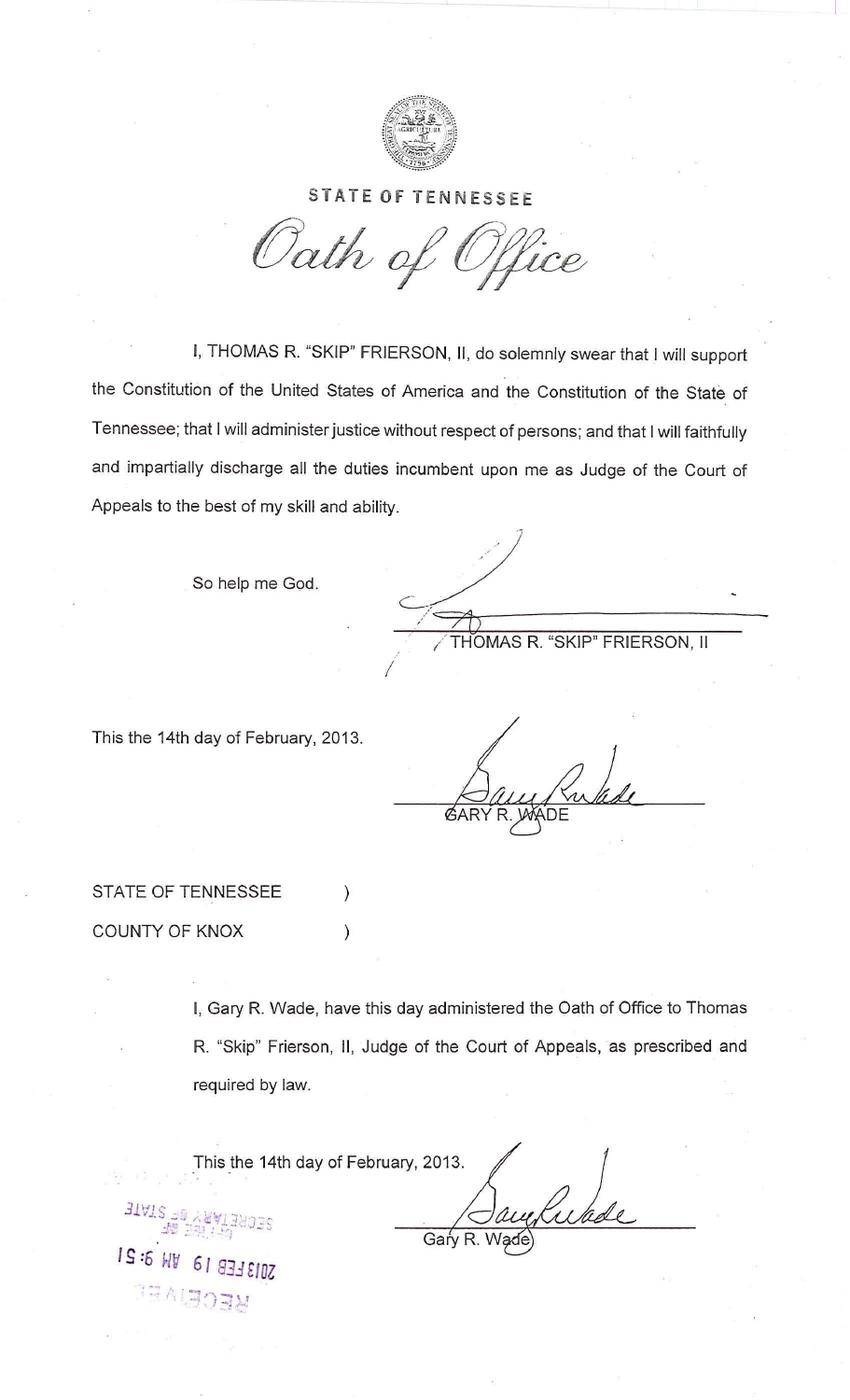

## **STATE OF TENNESSEE**

Oath of Office

I, THOMAS R. "SKIP" FRIERSON, II, do solemnly swear that I will support the Constitution of the United States of America and the Constitution of the State of Tennessee; that I will administer justice without respect of persons; and that I will faithfully and impartially discharge all the duties incumbent upon me as Judge of the Court of Appeals to the best of my skill and ability.

So help me God.

THOMAS R. "SKIP" FRIERSON, II

This the 14th day of February, 2013.

**GAR** 

STATE OF TENNESSEE COUNTY OF KNOX

**BTATE** 

 $IS:5$  WV

MECEIVEL

ZU13 FEB

I, Gary R. Wade, have this day administered the Oath of Office to Thomas R. "Skip" Frierson, II, Judge of the Court of Appeals, as prescribed and required by law.

This the 14th day of February, 2013. Gary R.

 $\mathcal{C}$ 

 $\mathcal{C}$